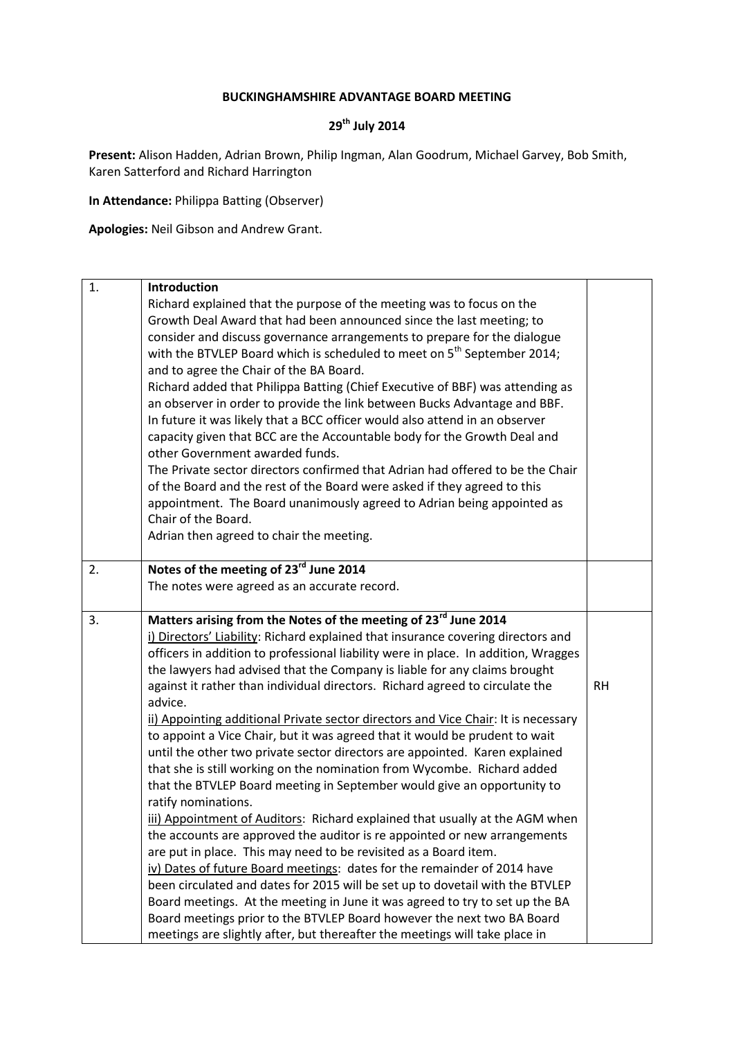## **BUCKINGHAMSHIRE ADVANTAGE BOARD MEETING**

## **29th July 2014**

**Present:** Alison Hadden, Adrian Brown, Philip Ingman, Alan Goodrum, Michael Garvey, Bob Smith, Karen Satterford and Richard Harrington

**In Attendance:** Philippa Batting (Observer)

**Apologies:** Neil Gibson and Andrew Grant.

| 1. | Introduction                                                                                                                                          |           |
|----|-------------------------------------------------------------------------------------------------------------------------------------------------------|-----------|
|    | Richard explained that the purpose of the meeting was to focus on the                                                                                 |           |
|    | Growth Deal Award that had been announced since the last meeting; to                                                                                  |           |
|    | consider and discuss governance arrangements to prepare for the dialogue                                                                              |           |
|    | with the BTVLEP Board which is scheduled to meet on $5th$ September 2014;                                                                             |           |
|    | and to agree the Chair of the BA Board.                                                                                                               |           |
|    | Richard added that Philippa Batting (Chief Executive of BBF) was attending as                                                                         |           |
|    | an observer in order to provide the link between Bucks Advantage and BBF.                                                                             |           |
|    | In future it was likely that a BCC officer would also attend in an observer                                                                           |           |
|    | capacity given that BCC are the Accountable body for the Growth Deal and                                                                              |           |
|    | other Government awarded funds.                                                                                                                       |           |
|    | The Private sector directors confirmed that Adrian had offered to be the Chair                                                                        |           |
|    | of the Board and the rest of the Board were asked if they agreed to this                                                                              |           |
|    | appointment. The Board unanimously agreed to Adrian being appointed as                                                                                |           |
|    | Chair of the Board.                                                                                                                                   |           |
|    | Adrian then agreed to chair the meeting.                                                                                                              |           |
| 2. | Notes of the meeting of 23 <sup>rd</sup> June 2014                                                                                                    |           |
|    | The notes were agreed as an accurate record.                                                                                                          |           |
|    |                                                                                                                                                       |           |
|    | Matters arising from the Notes of the meeting of 23rd June 2014                                                                                       |           |
| 3. |                                                                                                                                                       |           |
|    | i) Directors' Liability: Richard explained that insurance covering directors and                                                                      |           |
|    | officers in addition to professional liability were in place. In addition, Wragges                                                                    |           |
|    | the lawyers had advised that the Company is liable for any claims brought                                                                             |           |
|    | against it rather than individual directors. Richard agreed to circulate the                                                                          | <b>RH</b> |
|    | advice.                                                                                                                                               |           |
|    | ii) Appointing additional Private sector directors and Vice Chair: It is necessary                                                                    |           |
|    | to appoint a Vice Chair, but it was agreed that it would be prudent to wait                                                                           |           |
|    | until the other two private sector directors are appointed. Karen explained                                                                           |           |
|    | that she is still working on the nomination from Wycombe. Richard added                                                                               |           |
|    | that the BTVLEP Board meeting in September would give an opportunity to                                                                               |           |
|    | ratify nominations.                                                                                                                                   |           |
|    | iii) Appointment of Auditors: Richard explained that usually at the AGM when                                                                          |           |
|    | the accounts are approved the auditor is re appointed or new arrangements                                                                             |           |
|    | are put in place. This may need to be revisited as a Board item.                                                                                      |           |
|    | iv) Dates of future Board meetings: dates for the remainder of 2014 have                                                                              |           |
|    | been circulated and dates for 2015 will be set up to dovetail with the BTVLEP                                                                         |           |
|    | Board meetings. At the meeting in June it was agreed to try to set up the BA                                                                          |           |
|    | Board meetings prior to the BTVLEP Board however the next two BA Board<br>meetings are slightly after, but thereafter the meetings will take place in |           |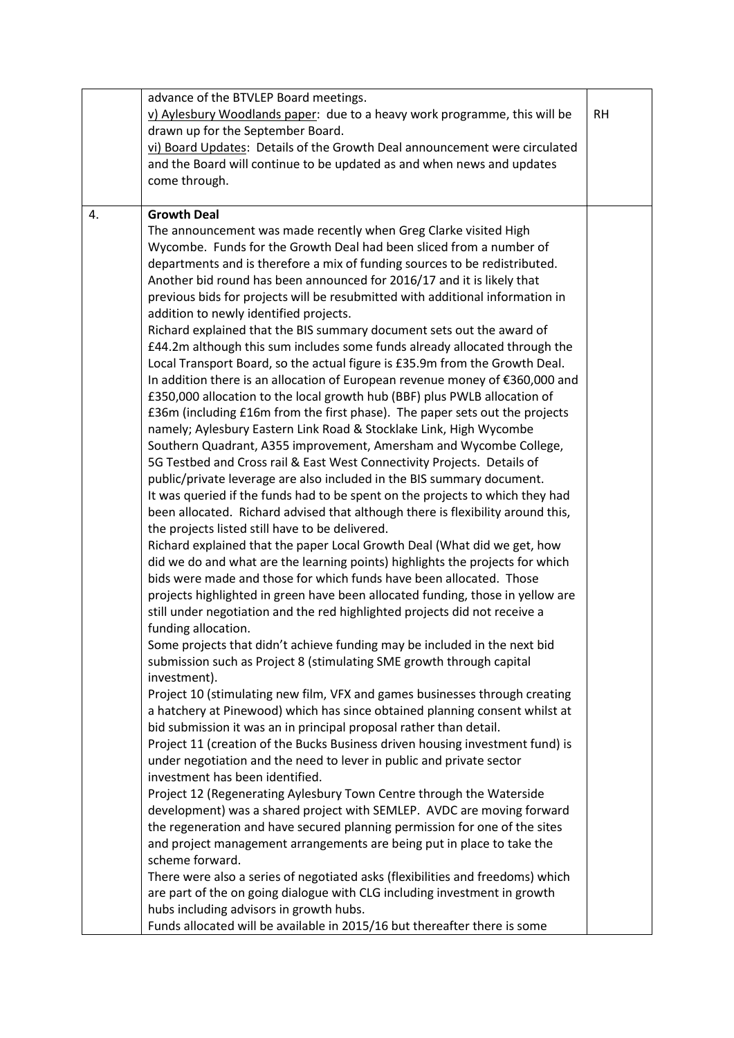|    | advance of the BTVLEP Board meetings.<br>v) Aylesbury Woodlands paper: due to a heavy work programme, this will be<br>drawn up for the September Board.<br>vi) Board Updates: Details of the Growth Deal announcement were circulated<br>and the Board will continue to be updated as and when news and updates<br>come through.                                                                                                                                                                                                                                                                                                                                                                                                                                                                                                                                                                                                                                                                                                                                                                                                                                                                                                                                                                                                                                                                                                                                                                                                                                                                                                                                                                                                                                                                                                                                                                                                                                                                                                                                                                                                                                                                                                                                                                                                                                                                                                                                                                                                                                                                                                                                                                                                                                                                                                                                                                                                                                                                                                  | <b>RH</b> |
|----|-----------------------------------------------------------------------------------------------------------------------------------------------------------------------------------------------------------------------------------------------------------------------------------------------------------------------------------------------------------------------------------------------------------------------------------------------------------------------------------------------------------------------------------------------------------------------------------------------------------------------------------------------------------------------------------------------------------------------------------------------------------------------------------------------------------------------------------------------------------------------------------------------------------------------------------------------------------------------------------------------------------------------------------------------------------------------------------------------------------------------------------------------------------------------------------------------------------------------------------------------------------------------------------------------------------------------------------------------------------------------------------------------------------------------------------------------------------------------------------------------------------------------------------------------------------------------------------------------------------------------------------------------------------------------------------------------------------------------------------------------------------------------------------------------------------------------------------------------------------------------------------------------------------------------------------------------------------------------------------------------------------------------------------------------------------------------------------------------------------------------------------------------------------------------------------------------------------------------------------------------------------------------------------------------------------------------------------------------------------------------------------------------------------------------------------------------------------------------------------------------------------------------------------------------------------------------------------------------------------------------------------------------------------------------------------------------------------------------------------------------------------------------------------------------------------------------------------------------------------------------------------------------------------------------------------------------------------------------------------------------------------------------------------|-----------|
| 4. | <b>Growth Deal</b><br>The announcement was made recently when Greg Clarke visited High<br>Wycombe. Funds for the Growth Deal had been sliced from a number of<br>departments and is therefore a mix of funding sources to be redistributed.<br>Another bid round has been announced for 2016/17 and it is likely that<br>previous bids for projects will be resubmitted with additional information in<br>addition to newly identified projects.<br>Richard explained that the BIS summary document sets out the award of<br>£44.2m although this sum includes some funds already allocated through the<br>Local Transport Board, so the actual figure is £35.9m from the Growth Deal.<br>In addition there is an allocation of European revenue money of €360,000 and<br>£350,000 allocation to the local growth hub (BBF) plus PWLB allocation of<br>£36m (including £16m from the first phase). The paper sets out the projects<br>namely; Aylesbury Eastern Link Road & Stocklake Link, High Wycombe<br>Southern Quadrant, A355 improvement, Amersham and Wycombe College,<br>5G Testbed and Cross rail & East West Connectivity Projects. Details of<br>public/private leverage are also included in the BIS summary document.<br>It was queried if the funds had to be spent on the projects to which they had<br>been allocated. Richard advised that although there is flexibility around this,<br>the projects listed still have to be delivered.<br>Richard explained that the paper Local Growth Deal (What did we get, how<br>did we do and what are the learning points) highlights the projects for which<br>bids were made and those for which funds have been allocated. Those<br>projects highlighted in green have been allocated funding, those in yellow are<br>still under negotiation and the red highlighted projects did not receive a<br>funding allocation.<br>Some projects that didn't achieve funding may be included in the next bid<br>submission such as Project 8 (stimulating SME growth through capital<br>investment).<br>Project 10 (stimulating new film, VFX and games businesses through creating<br>a hatchery at Pinewood) which has since obtained planning consent whilst at<br>bid submission it was an in principal proposal rather than detail.<br>Project 11 (creation of the Bucks Business driven housing investment fund) is<br>under negotiation and the need to lever in public and private sector<br>investment has been identified.<br>Project 12 (Regenerating Aylesbury Town Centre through the Waterside<br>development) was a shared project with SEMLEP. AVDC are moving forward<br>the regeneration and have secured planning permission for one of the sites<br>and project management arrangements are being put in place to take the<br>scheme forward.<br>There were also a series of negotiated asks (flexibilities and freedoms) which<br>are part of the on going dialogue with CLG including investment in growth<br>hubs including advisors in growth hubs. |           |
|    | Funds allocated will be available in 2015/16 but thereafter there is some                                                                                                                                                                                                                                                                                                                                                                                                                                                                                                                                                                                                                                                                                                                                                                                                                                                                                                                                                                                                                                                                                                                                                                                                                                                                                                                                                                                                                                                                                                                                                                                                                                                                                                                                                                                                                                                                                                                                                                                                                                                                                                                                                                                                                                                                                                                                                                                                                                                                                                                                                                                                                                                                                                                                                                                                                                                                                                                                                         |           |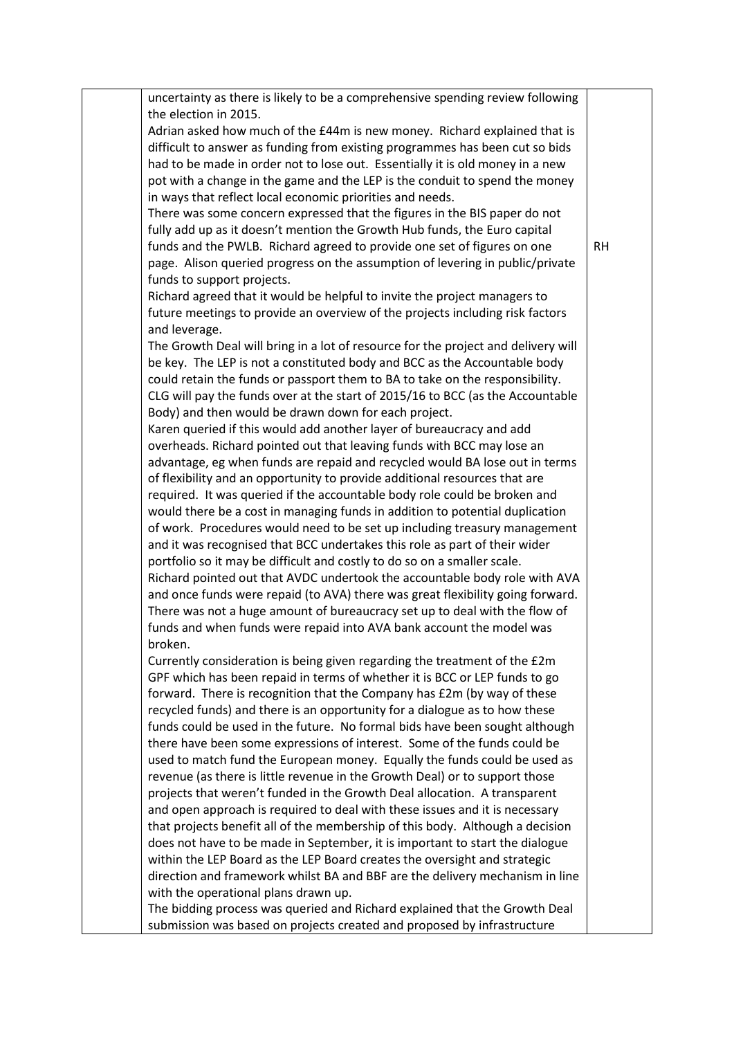| uncertainty as there is likely to be a comprehensive spending review following    |           |
|-----------------------------------------------------------------------------------|-----------|
| the election in 2015.                                                             |           |
| Adrian asked how much of the £44m is new money. Richard explained that is         |           |
| difficult to answer as funding from existing programmes has been cut so bids      |           |
| had to be made in order not to lose out. Essentially it is old money in a new     |           |
| pot with a change in the game and the LEP is the conduit to spend the money       |           |
| in ways that reflect local economic priorities and needs.                         |           |
| There was some concern expressed that the figures in the BIS paper do not         |           |
| fully add up as it doesn't mention the Growth Hub funds, the Euro capital         |           |
| funds and the PWLB. Richard agreed to provide one set of figures on one           | <b>RH</b> |
| page. Alison queried progress on the assumption of levering in public/private     |           |
| funds to support projects.                                                        |           |
| Richard agreed that it would be helpful to invite the project managers to         |           |
| future meetings to provide an overview of the projects including risk factors     |           |
| and leverage.                                                                     |           |
| The Growth Deal will bring in a lot of resource for the project and delivery will |           |
| be key. The LEP is not a constituted body and BCC as the Accountable body         |           |
| could retain the funds or passport them to BA to take on the responsibility.      |           |
| CLG will pay the funds over at the start of 2015/16 to BCC (as the Accountable    |           |
| Body) and then would be drawn down for each project.                              |           |
| Karen queried if this would add another layer of bureaucracy and add              |           |
| overheads. Richard pointed out that leaving funds with BCC may lose an            |           |
| advantage, eg when funds are repaid and recycled would BA lose out in terms       |           |
| of flexibility and an opportunity to provide additional resources that are        |           |
| required. It was queried if the accountable body role could be broken and         |           |
| would there be a cost in managing funds in addition to potential duplication      |           |
| of work. Procedures would need to be set up including treasury management         |           |
| and it was recognised that BCC undertakes this role as part of their wider        |           |
| portfolio so it may be difficult and costly to do so on a smaller scale.          |           |
| Richard pointed out that AVDC undertook the accountable body role with AVA        |           |
| and once funds were repaid (to AVA) there was great flexibility going forward.    |           |
| There was not a huge amount of bureaucracy set up to deal with the flow of        |           |
| funds and when funds were repaid into AVA bank account the model was              |           |
| broken.                                                                           |           |
| Currently consideration is being given regarding the treatment of the £2m         |           |
| GPF which has been repaid in terms of whether it is BCC or LEP funds to go        |           |
| forward. There is recognition that the Company has £2m (by way of these           |           |
| recycled funds) and there is an opportunity for a dialogue as to how these        |           |
| funds could be used in the future. No formal bids have been sought although       |           |
| there have been some expressions of interest. Some of the funds could be          |           |
| used to match fund the European money. Equally the funds could be used as         |           |
| revenue (as there is little revenue in the Growth Deal) or to support those       |           |
| projects that weren't funded in the Growth Deal allocation. A transparent         |           |
| and open approach is required to deal with these issues and it is necessary       |           |
| that projects benefit all of the membership of this body. Although a decision     |           |
| does not have to be made in September, it is important to start the dialogue      |           |
| within the LEP Board as the LEP Board creates the oversight and strategic         |           |
| direction and framework whilst BA and BBF are the delivery mechanism in line      |           |
| with the operational plans drawn up.                                              |           |
| The bidding process was queried and Richard explained that the Growth Deal        |           |
| submission was based on projects created and proposed by infrastructure           |           |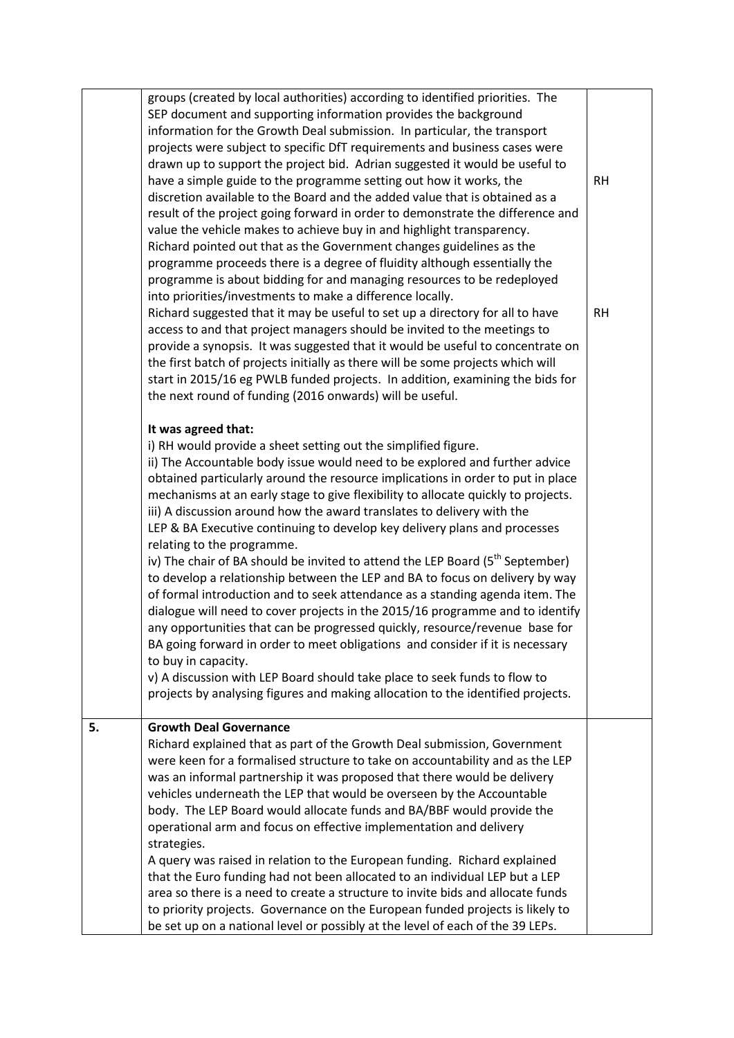|    | strategies.<br>A query was raised in relation to the European funding. Richard explained<br>that the Euro funding had not been allocated to an individual LEP but a LEP<br>area so there is a need to create a structure to invite bids and allocate funds<br>to priority projects. Governance on the European funded projects is likely to<br>be set up on a national level or possibly at the level of each of the 39 LEPs.                                                                                                                                                                                                                                                                                                                                                                                                                                                                                                                                                                                                                                                                                                                                          |                        |
|----|------------------------------------------------------------------------------------------------------------------------------------------------------------------------------------------------------------------------------------------------------------------------------------------------------------------------------------------------------------------------------------------------------------------------------------------------------------------------------------------------------------------------------------------------------------------------------------------------------------------------------------------------------------------------------------------------------------------------------------------------------------------------------------------------------------------------------------------------------------------------------------------------------------------------------------------------------------------------------------------------------------------------------------------------------------------------------------------------------------------------------------------------------------------------|------------------------|
| 5. | <b>Growth Deal Governance</b><br>Richard explained that as part of the Growth Deal submission, Government<br>were keen for a formalised structure to take on accountability and as the LEP<br>was an informal partnership it was proposed that there would be delivery<br>vehicles underneath the LEP that would be overseen by the Accountable<br>body. The LEP Board would allocate funds and BA/BBF would provide the<br>operational arm and focus on effective implementation and delivery                                                                                                                                                                                                                                                                                                                                                                                                                                                                                                                                                                                                                                                                         |                        |
|    | mechanisms at an early stage to give flexibility to allocate quickly to projects.<br>iii) A discussion around how the award translates to delivery with the<br>LEP & BA Executive continuing to develop key delivery plans and processes<br>relating to the programme.<br>iv) The chair of BA should be invited to attend the LEP Board (5 <sup>th</sup> September)<br>to develop a relationship between the LEP and BA to focus on delivery by way<br>of formal introduction and to seek attendance as a standing agenda item. The<br>dialogue will need to cover projects in the 2015/16 programme and to identify<br>any opportunities that can be progressed quickly, resource/revenue base for<br>BA going forward in order to meet obligations and consider if it is necessary<br>to buy in capacity.<br>v) A discussion with LEP Board should take place to seek funds to flow to<br>projects by analysing figures and making allocation to the identified projects.                                                                                                                                                                                            |                        |
|    | It was agreed that:<br>i) RH would provide a sheet setting out the simplified figure.<br>ii) The Accountable body issue would need to be explored and further advice<br>obtained particularly around the resource implications in order to put in place                                                                                                                                                                                                                                                                                                                                                                                                                                                                                                                                                                                                                                                                                                                                                                                                                                                                                                                |                        |
|    | drawn up to support the project bid. Adrian suggested it would be useful to<br>have a simple guide to the programme setting out how it works, the<br>discretion available to the Board and the added value that is obtained as a<br>result of the project going forward in order to demonstrate the difference and<br>value the vehicle makes to achieve buy in and highlight transparency.<br>Richard pointed out that as the Government changes guidelines as the<br>programme proceeds there is a degree of fluidity although essentially the<br>programme is about bidding for and managing resources to be redeployed<br>into priorities/investments to make a difference locally.<br>Richard suggested that it may be useful to set up a directory for all to have<br>access to and that project managers should be invited to the meetings to<br>provide a synopsis. It was suggested that it would be useful to concentrate on<br>the first batch of projects initially as there will be some projects which will<br>start in 2015/16 eg PWLB funded projects. In addition, examining the bids for<br>the next round of funding (2016 onwards) will be useful. | <b>RH</b><br><b>RH</b> |
|    | groups (created by local authorities) according to identified priorities. The<br>SEP document and supporting information provides the background<br>information for the Growth Deal submission. In particular, the transport<br>projects were subject to specific DfT requirements and business cases were                                                                                                                                                                                                                                                                                                                                                                                                                                                                                                                                                                                                                                                                                                                                                                                                                                                             |                        |